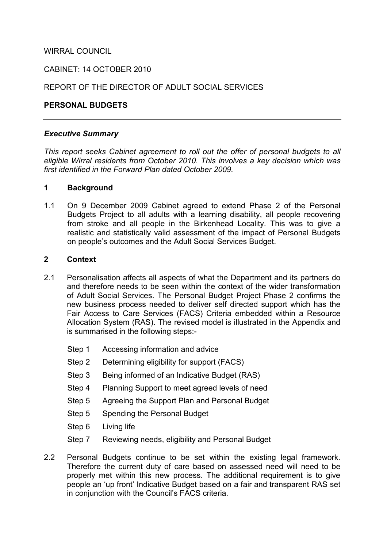#### WIRRAL COUNCIL

CABINET: 14 OCTOBER 2010

REPORT OF THE DIRECTOR OF ADULT SOCIAL SERVICES

#### PERSONAL BUDGETS

#### Executive Summary

This report seeks Cabinet agreement to roll out the offer of personal budgets to all eligible Wirral residents from October 2010. This involves a key decision which was first identified in the Forward Plan dated October 2009.

#### 1 Background

1.1 On 9 December 2009 Cabinet agreed to extend Phase 2 of the Personal Budgets Project to all adults with a learning disability, all people recovering from stroke and all people in the Birkenhead Locality. This was to give a realistic and statistically valid assessment of the impact of Personal Budgets on people's outcomes and the Adult Social Services Budget.

#### 2 Context

- 2.1 Personalisation affects all aspects of what the Department and its partners do and therefore needs to be seen within the context of the wider transformation of Adult Social Services. The Personal Budget Project Phase 2 confirms the new business process needed to deliver self directed support which has the Fair Access to Care Services (FACS) Criteria embedded within a Resource Allocation System (RAS). The revised model is illustrated in the Appendix and is summarised in the following steps:-
	- Step 1 Accessing information and advice
	- Step 2 Determining eligibility for support (FACS)
	- Step 3 Being informed of an Indicative Budget (RAS)
	- Step 4 Planning Support to meet agreed levels of need
	- Step 5 Agreeing the Support Plan and Personal Budget
	- Step 5 Spending the Personal Budget
	- Step 6 Living life
	- Step 7 Reviewing needs, eligibility and Personal Budget
- 2.2 Personal Budgets continue to be set within the existing legal framework. Therefore the current duty of care based on assessed need will need to be properly met within this new process. The additional requirement is to give people an 'up front' Indicative Budget based on a fair and transparent RAS set in conjunction with the Council's FACS criteria.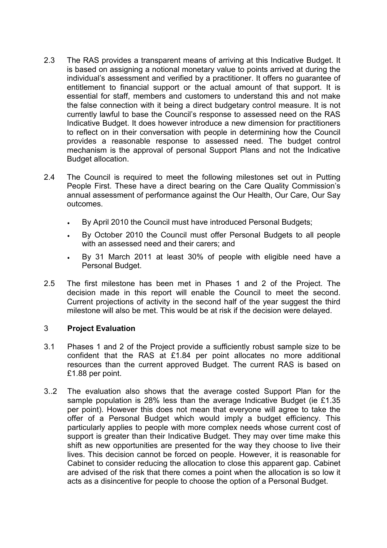- 2.3 The RAS provides a transparent means of arriving at this Indicative Budget. It is based on assigning a notional monetary value to points arrived at during the individual's assessment and verified by a practitioner. It offers no guarantee of entitlement to financial support or the actual amount of that support. It is essential for staff, members and customers to understand this and not make the false connection with it being a direct budgetary control measure. It is not currently lawful to base the Council's response to assessed need on the RAS Indicative Budget. It does however introduce a new dimension for practitioners to reflect on in their conversation with people in determining how the Council provides a reasonable response to assessed need. The budget control mechanism is the approval of personal Support Plans and not the Indicative Budget allocation.
- 2.4 The Council is required to meet the following milestones set out in Putting People First. These have a direct bearing on the Care Quality Commission's annual assessment of performance against the Our Health, Our Care, Our Say outcomes.
	- By April 2010 the Council must have introduced Personal Budgets;
	- By October 2010 the Council must offer Personal Budgets to all people with an assessed need and their carers; and
	- By 31 March 2011 at least 30% of people with eligible need have a Personal Budget.
- 2.5 The first milestone has been met in Phases 1 and 2 of the Project. The decision made in this report will enable the Council to meet the second. Current projections of activity in the second half of the year suggest the third milestone will also be met. This would be at risk if the decision were delayed.

#### 3 Project Evaluation

- 3.1 Phases 1 and 2 of the Project provide a sufficiently robust sample size to be confident that the RAS at £1.84 per point allocates no more additional resources than the current approved Budget. The current RAS is based on £1.88 per point.
- 3..2 The evaluation also shows that the average costed Support Plan for the sample population is 28% less than the average Indicative Budget (ie £1.35 per point). However this does not mean that everyone will agree to take the offer of a Personal Budget which would imply a budget efficiency. This particularly applies to people with more complex needs whose current cost of support is greater than their Indicative Budget. They may over time make this shift as new opportunities are presented for the way they choose to live their lives. This decision cannot be forced on people. However, it is reasonable for Cabinet to consider reducing the allocation to close this apparent gap. Cabinet are advised of the risk that there comes a point when the allocation is so low it acts as a disincentive for people to choose the option of a Personal Budget.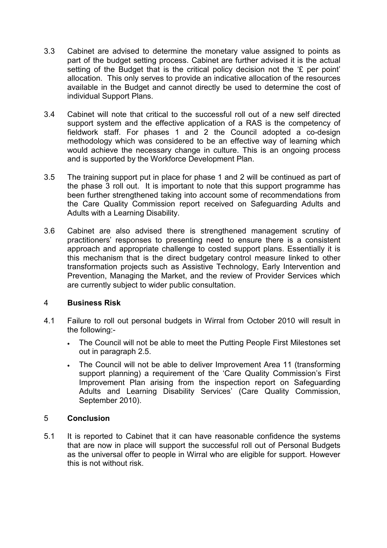- 3.3 Cabinet are advised to determine the monetary value assigned to points as part of the budget setting process. Cabinet are further advised it is the actual setting of the Budget that is the critical policy decision not the '£ per point' allocation. This only serves to provide an indicative allocation of the resources available in the Budget and cannot directly be used to determine the cost of individual Support Plans.
- 3.4 Cabinet will note that critical to the successful roll out of a new self directed support system and the effective application of a RAS is the competency of fieldwork staff. For phases 1 and 2 the Council adopted a co-design methodology which was considered to be an effective way of learning which would achieve the necessary change in culture. This is an ongoing process and is supported by the Workforce Development Plan.
- 3.5 The training support put in place for phase 1 and 2 will be continued as part of the phase 3 roll out. It is important to note that this support programme has been further strengthened taking into account some of recommendations from the Care Quality Commission report received on Safeguarding Adults and Adults with a Learning Disability.
- 3.6 Cabinet are also advised there is strengthened management scrutiny of practitioners' responses to presenting need to ensure there is a consistent approach and appropriate challenge to costed support plans. Essentially it is this mechanism that is the direct budgetary control measure linked to other transformation projects such as Assistive Technology, Early Intervention and Prevention, Managing the Market, and the review of Provider Services which are currently subject to wider public consultation.

#### 4 Business Risk

- 4.1 Failure to roll out personal budgets in Wirral from October 2010 will result in the following:-
	- The Council will not be able to meet the Putting People First Milestones set out in paragraph 2.5.
	- The Council will not be able to deliver Improvement Area 11 (transforming support planning) a requirement of the 'Care Quality Commission's First Improvement Plan arising from the inspection report on Safeguarding Adults and Learning Disability Services' (Care Quality Commission, September 2010).

#### 5 Conclusion

5.1 It is reported to Cabinet that it can have reasonable confidence the systems that are now in place will support the successful roll out of Personal Budgets as the universal offer to people in Wirral who are eligible for support. However this is not without risk.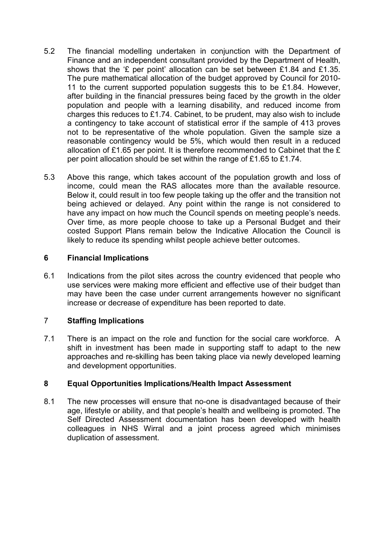- 5.2 The financial modelling undertaken in conjunction with the Department of Finance and an independent consultant provided by the Department of Health, shows that the '£ per point' allocation can be set between £1.84 and £1.35. The pure mathematical allocation of the budget approved by Council for 2010- 11 to the current supported population suggests this to be £1.84. However, after building in the financial pressures being faced by the growth in the older population and people with a learning disability, and reduced income from charges this reduces to £1.74. Cabinet, to be prudent, may also wish to include a contingency to take account of statistical error if the sample of 413 proves not to be representative of the whole population. Given the sample size a reasonable contingency would be 5%, which would then result in a reduced allocation of £1.65 per point. It is therefore recommended to Cabinet that the £ per point allocation should be set within the range of £1.65 to £1.74.
- 5.3 Above this range, which takes account of the population growth and loss of income, could mean the RAS allocates more than the available resource. Below it, could result in too few people taking up the offer and the transition not being achieved or delayed. Any point within the range is not considered to have any impact on how much the Council spends on meeting people's needs. Over time, as more people choose to take up a Personal Budget and their costed Support Plans remain below the Indicative Allocation the Council is likely to reduce its spending whilst people achieve better outcomes.

#### 6 Financial Implications

6.1 Indications from the pilot sites across the country evidenced that people who use services were making more efficient and effective use of their budget than may have been the case under current arrangements however no significant increase or decrease of expenditure has been reported to date.

# 7 Staffing Implications

7.1 There is an impact on the role and function for the social care workforce. A shift in investment has been made in supporting staff to adapt to the new approaches and re-skilling has been taking place via newly developed learning and development opportunities.

# 8 Equal Opportunities Implications/Health Impact Assessment

8.1 The new processes will ensure that no-one is disadvantaged because of their age, lifestyle or ability, and that people's health and wellbeing is promoted. The Self Directed Assessment documentation has been developed with health colleagues in NHS Wirral and a joint process agreed which minimises duplication of assessment.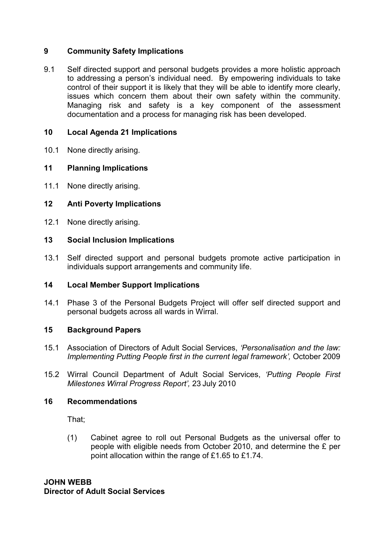# 9 Community Safety Implications

9.1 Self directed support and personal budgets provides a more holistic approach to addressing a person's individual need. By empowering individuals to take control of their support it is likely that they will be able to identify more clearly, issues which concern them about their own safety within the community. Managing risk and safety is a key component of the assessment documentation and a process for managing risk has been developed.

# 10 Local Agenda 21 Implications

10.1 None directly arising.

# 11 Planning Implications

11.1 None directly arising.

# 12 Anti Poverty Implications

12.1 None directly arising.

# 13 Social Inclusion Implications

13.1 Self directed support and personal budgets promote active participation in individuals support arrangements and community life.

# 14 Local Member Support Implications

14.1 Phase 3 of the Personal Budgets Project will offer self directed support and personal budgets across all wards in Wirral.

# 15 Background Papers

- 15.1 Association of Directors of Adult Social Services, 'Personalisation and the law: Implementing Putting People first in the current legal framework', October 2009
- 15.2 Wirral Council Department of Adult Social Services, 'Putting People First Milestones Wirral Progress Report', 23 July 2010

# 16 Recommendations

That;

(1) Cabinet agree to roll out Personal Budgets as the universal offer to people with eligible needs from October 2010, and determine the £ per point allocation within the range of £1.65 to £1.74.